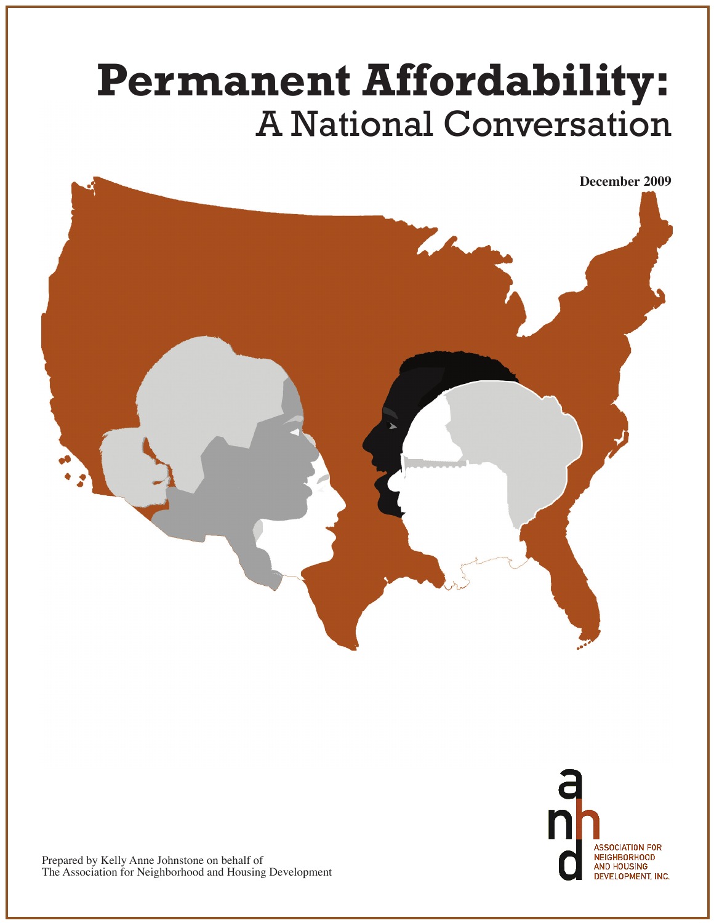# **Permanent Affordability:** A National Conversation

**December 2009**

DEVELOPMENT, INC.



Prepared by Kelly Anne Johnstone on behalf of The Association for Neighborhood and Housing Development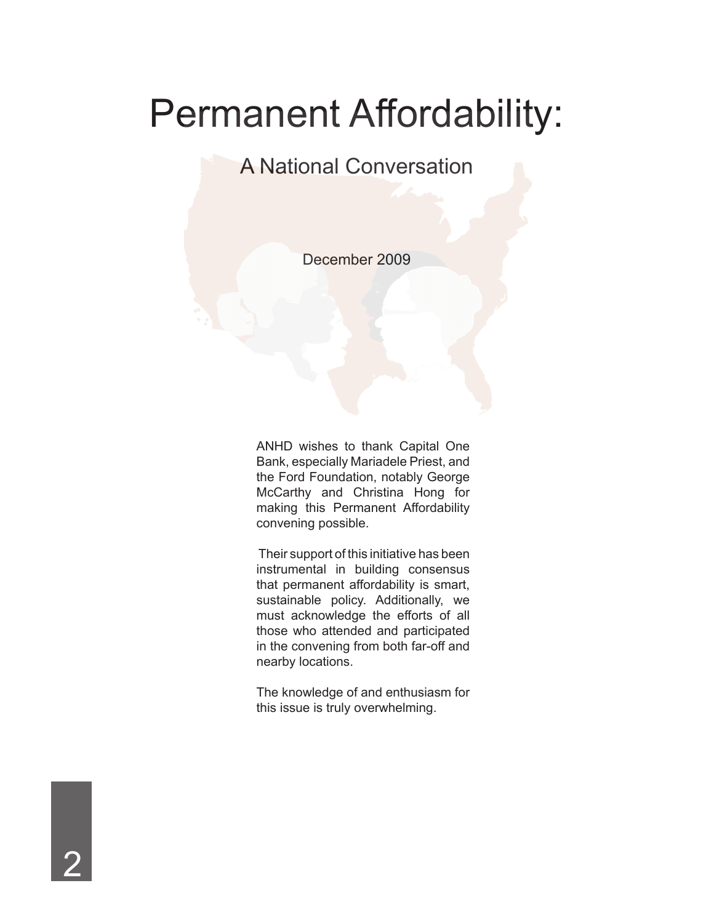## Permanent Affordability:

#### A National Conversation

December 2009

ANHD wishes to thank Capital One Bank, especially Mariadele Priest, and the Ford Foundation, notably George McCarthy and Christina Hong for making this Permanent Affordability convening possible.

 Their support of this initiative has been instrumental in building consensus that permanent affordability is smart, sustainable policy. Additionally, we must acknowledge the efforts of all those who attended and participated in the convening from both far-off and nearby locations.

The knowledge of and enthusiasm for this issue is truly overwhelming.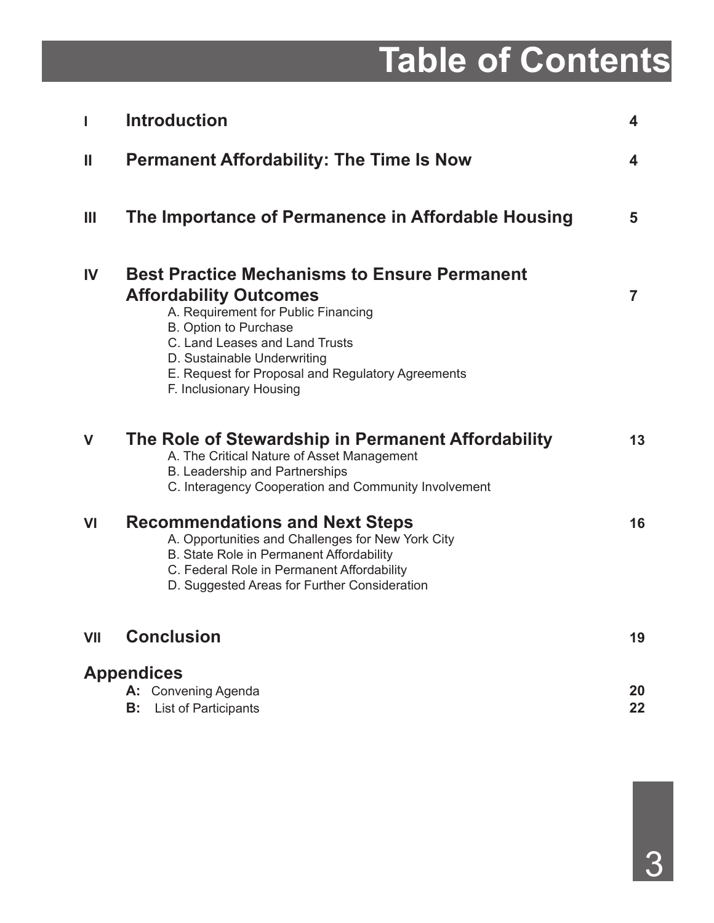# **Table of Contents**

| I           | <b>Introduction</b>                                                                                                                                                                                                                                                                                   | 4              |
|-------------|-------------------------------------------------------------------------------------------------------------------------------------------------------------------------------------------------------------------------------------------------------------------------------------------------------|----------------|
| Ш           | <b>Permanent Affordability: The Time Is Now</b>                                                                                                                                                                                                                                                       | 4              |
| Ш           | The Importance of Permanence in Affordable Housing                                                                                                                                                                                                                                                    | 5              |
| <b>IV</b>   | <b>Best Practice Mechanisms to Ensure Permanent</b><br><b>Affordability Outcomes</b><br>A. Requirement for Public Financing<br>B. Option to Purchase<br>C. Land Leases and Land Trusts<br>D. Sustainable Underwriting<br>E. Request for Proposal and Regulatory Agreements<br>F. Inclusionary Housing | $\overline{7}$ |
| $\mathbf V$ | The Role of Stewardship in Permanent Affordability<br>A. The Critical Nature of Asset Management<br>B. Leadership and Partnerships<br>C. Interagency Cooperation and Community Involvement                                                                                                            | 13             |
| VI          | <b>Recommendations and Next Steps</b><br>A. Opportunities and Challenges for New York City<br>B. State Role in Permanent Affordability<br>C. Federal Role in Permanent Affordability<br>D. Suggested Areas for Further Consideration                                                                  | 16             |
| VII         | <b>Conclusion</b>                                                                                                                                                                                                                                                                                     | 19             |
|             | <b>Appendices</b><br>A: Convening Agenda<br>B:<br><b>List of Participants</b>                                                                                                                                                                                                                         | 20<br>22       |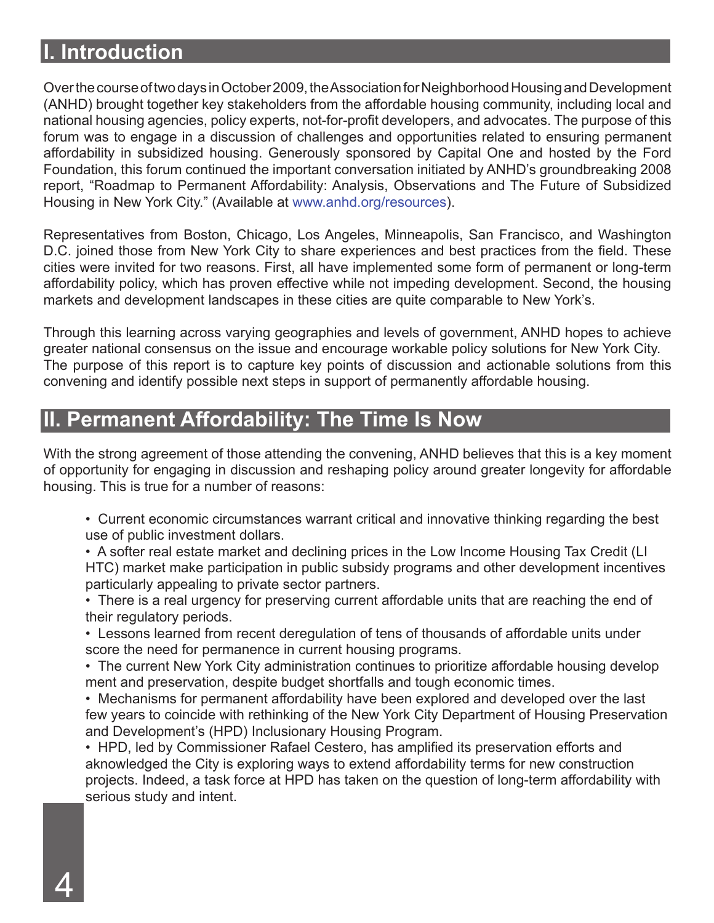#### **I. Introduction**

Over the course of two days in October 2009, the Association for Neighborhood Housing and Development (ANHD) brought together key stakeholders from the affordable housing community, including local and national housing agencies, policy experts, not-for-profit developers, and advocates. The purpose of this forum was to engage in a discussion of challenges and opportunities related to ensuring permanent affordability in subsidized housing. Generously sponsored by Capital One and hosted by the Ford Foundation, this forum continued the important conversation initiated by ANHD's groundbreaking 2008 report, "Roadmap to Permanent Affordability: Analysis, Observations and The Future of Subsidized Housing in New York City." (Available at www.anhd.org/resources).

Representatives from Boston, Chicago, Los Angeles, Minneapolis, San Francisco, and Washington D.C. joined those from New York City to share experiences and best practices from the field. These cities were invited for two reasons. First, all have implemented some form of permanent or long-term affordability policy, which has proven effective while not impeding development. Second, the housing markets and development landscapes in these cities are quite comparable to New York's.

Through this learning across varying geographies and levels of government, ANHD hopes to achieve greater national consensus on the issue and encourage workable policy solutions for New York City. The purpose of this report is to capture key points of discussion and actionable solutions from this convening and identify possible next steps in support of permanently affordable housing.

#### **II. Permanent Affordability: The Time Is Now**

With the strong agreement of those attending the convening, ANHD believes that this is a key moment of opportunity for engaging in discussion and reshaping policy around greater longevity for affordable housing. This is true for a number of reasons:

- Current economic circumstances warrant critical and innovative thinking regarding the best use of public investment dollars.
- A softer real estate market and declining prices in the Low Income Housing Tax Credit (LI HTC) market make participation in public subsidy programs and other development incentives particularly appealing to private sector partners.
- There is a real urgency for preserving current affordable units that are reaching the end of their regulatory periods.
- Lessons learned from recent deregulation of tens of thousands of affordable units under score the need for permanence in current housing programs.
- The current New York City administration continues to prioritize affordable housing develop ment and preservation, despite budget shortfalls and tough economic times.
- Mechanisms for permanent affordability have been explored and developed over the last few years to coincide with rethinking of the New York City Department of Housing Preservation and Development's (HPD) Inclusionary Housing Program.
- HPD, led by Commissioner Rafael Cestero, has amplified its preservation efforts and aknowledged the City is exploring ways to extend affordability terms for new construction projects. Indeed, a task force at HPD has taken on the question of long-term affordability with serious study and intent.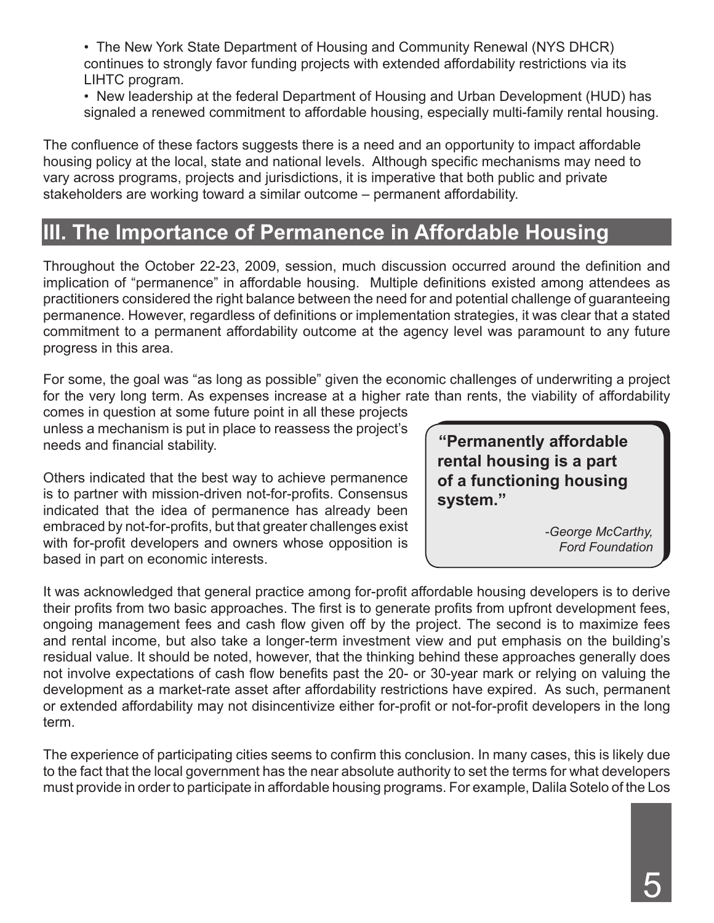• The New York State Department of Housing and Community Renewal (NYS DHCR) continues to strongly favor funding projects with extended affordability restrictions via its LIHTC program.

• New leadership at the federal Department of Housing and Urban Development (HUD) has signaled a renewed commitment to affordable housing, especially multi-family rental housing.

The confluence of these factors suggests there is a need and an opportunity to impact affordable housing policy at the local, state and national levels. Although specific mechanisms may need to vary across programs, projects and jurisdictions, it is imperative that both public and private stakeholders are working toward a similar outcome – permanent affordability.

## **III. The Importance of Permanence in Affordable Housing**

Throughout the October 22-23, 2009, session, much discussion occurred around the definition and implication of "permanence" in affordable housing. Multiple definitions existed among attendees as practitioners considered the right balance between the need for and potential challenge of guaranteeing permanence. However, regardless of definitions or implementation strategies, it was clear that a stated commitment to a permanent affordability outcome at the agency level was paramount to any future progress in this area.

For some, the goal was "as long as possible" given the economic challenges of underwriting a project for the very long term. As expenses increase at a higher rate than rents, the viability of affordability

comes in question at some future point in all these projects unless a mechanism is put in place to reassess the project's needs and financial stability.

Others indicated that the best way to achieve permanence is to partner with mission-driven not-for-profits. Consensus indicated that the idea of permanence has already been embraced by not-for-profits, but that greater challenges exist with for-profit developers and owners whose opposition is based in part on economic interests.

**"Permanently affordable rental housing is a part of a functioning housing system."**

> *-George McCarthy, Ford Foundation*

It was acknowledged that general practice among for-profit affordable housing developers is to derive their profits from two basic approaches. The first is to generate profits from upfront development fees, ongoing management fees and cash flow given off by the project. The second is to maximize fees and rental income, but also take a longer-term investment view and put emphasis on the building's residual value. It should be noted, however, that the thinking behind these approaches generally does not involve expectations of cash flow benefits past the 20- or 30-year mark or relying on valuing the development as a market-rate asset after affordability restrictions have expired. As such, permanent or extended affordability may not disincentivize either for-profit or not-for-profit developers in the long term.

The experience of participating cities seems to confirm this conclusion. In many cases, this is likely due to the fact that the local government has the near absolute authority to set the terms for what developers must provide in order to participate in affordable housing programs. For example, Dalila Sotelo of the Los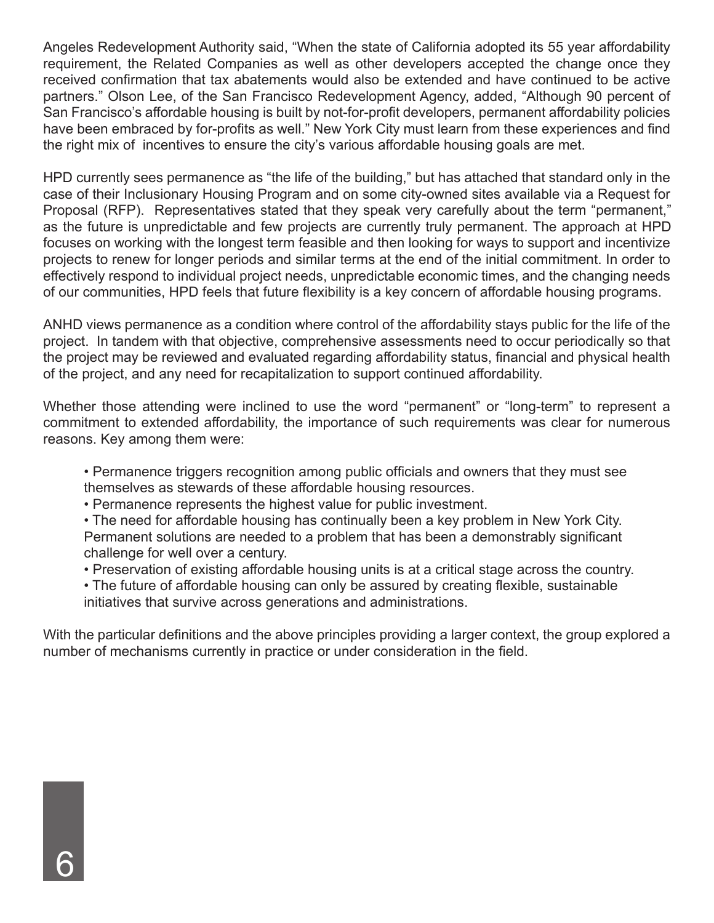Angeles Redevelopment Authority said, "When the state of California adopted its 55 year affordability requirement, the Related Companies as well as other developers accepted the change once they received confirmation that tax abatements would also be extended and have continued to be active partners." Olson Lee, of the San Francisco Redevelopment Agency, added, "Although 90 percent of San Francisco's affordable housing is built by not-for-profit developers, permanent affordability policies have been embraced by for-profits as well." New York City must learn from these experiences and find the right mix of incentives to ensure the city's various affordable housing goals are met.

HPD currently sees permanence as "the life of the building," but has attached that standard only in the case of their Inclusionary Housing Program and on some city-owned sites available via a Request for Proposal (RFP). Representatives stated that they speak very carefully about the term "permanent," as the future is unpredictable and few projects are currently truly permanent. The approach at HPD focuses on working with the longest term feasible and then looking for ways to support and incentivize projects to renew for longer periods and similar terms at the end of the initial commitment. In order to effectively respond to individual project needs, unpredictable economic times, and the changing needs of our communities, HPD feels that future flexibility is a key concern of affordable housing programs.

ANHD views permanence as a condition where control of the affordability stays public for the life of the project. In tandem with that objective, comprehensive assessments need to occur periodically so that the project may be reviewed and evaluated regarding affordability status, financial and physical health of the project, and any need for recapitalization to support continued affordability.

Whether those attending were inclined to use the word "permanent" or "long-term" to represent a commitment to extended affordability, the importance of such requirements was clear for numerous reasons. Key among them were:

• Permanence triggers recognition among public officials and owners that they must see themselves as stewards of these affordable housing resources.

• Permanence represents the highest value for public investment.

• The need for affordable housing has continually been a key problem in New York City. Permanent solutions are needed to a problem that has been a demonstrably significant challenge for well over a century.

• Preservation of existing affordable housing units is at a critical stage across the country.

• The future of affordable housing can only be assured by creating flexible, sustainable initiatives that survive across generations and administrations.

With the particular definitions and the above principles providing a larger context, the group explored a number of mechanisms currently in practice or under consideration in the field.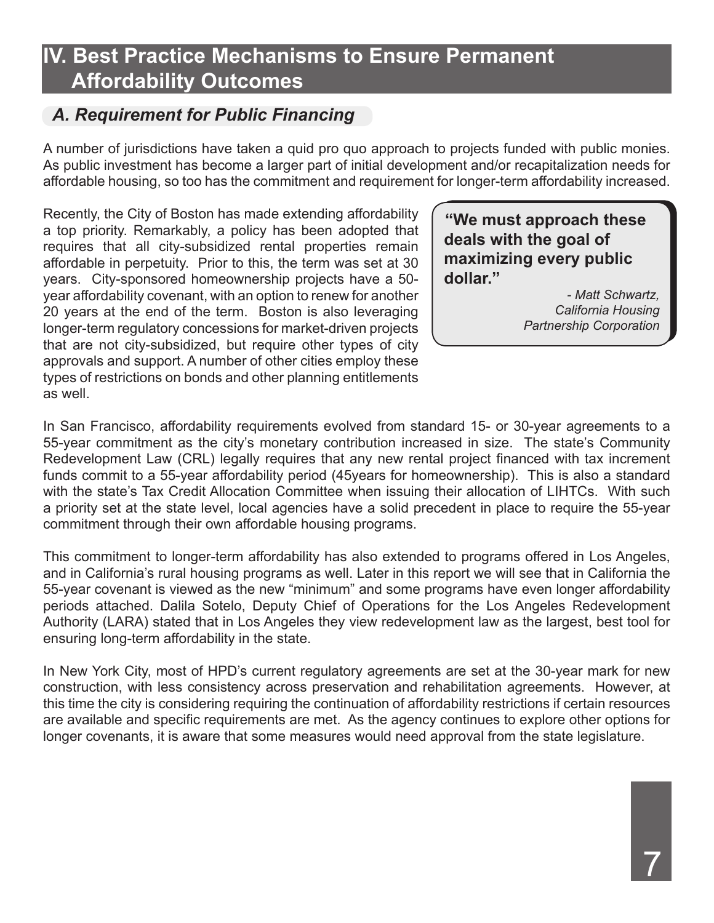## **IV. Best Practice Mechanisms to Ensure Permanent Affordability Outcomes**

#### *A. Requirement for Public Financing*

A number of jurisdictions have taken a quid pro quo approach to projects funded with public monies. As public investment has become a larger part of initial development and/or recapitalization needs for affordable housing, so too has the commitment and requirement for longer-term affordability increased.

Recently, the City of Boston has made extending affordability a top priority. Remarkably, a policy has been adopted that requires that all city-subsidized rental properties remain affordable in perpetuity. Prior to this, the term was set at 30 years. City-sponsored homeownership projects have a 50 year affordability covenant, with an option to renew for another 20 years at the end of the term. Boston is also leveraging longer-term regulatory concessions for market-driven projects that are not city-subsidized, but require other types of city approvals and support. A number of other cities employ these types of restrictions on bonds and other planning entitlements as well.

**"We must approach these deals with the goal of maximizing every public dollar."**

> *- Matt Schwartz, California Housing Partnership Corporation*

In San Francisco, affordability requirements evolved from standard 15- or 30-year agreements to a 55-year commitment as the city's monetary contribution increased in size. The state's Community Redevelopment Law (CRL) legally requires that any new rental project financed with tax increment funds commit to a 55-year affordability period (45years for homeownership). This is also a standard with the state's Tax Credit Allocation Committee when issuing their allocation of LIHTCs. With such a priority set at the state level, local agencies have a solid precedent in place to require the 55-year commitment through their own affordable housing programs.

This commitment to longer-term affordability has also extended to programs offered in Los Angeles, and in California's rural housing programs as well. Later in this report we will see that in California the 55-year covenant is viewed as the new "minimum" and some programs have even longer affordability periods attached. Dalila Sotelo, Deputy Chief of Operations for the Los Angeles Redevelopment Authority (LARA) stated that in Los Angeles they view redevelopment law as the largest, best tool for ensuring long-term affordability in the state.

In New York City, most of HPD's current regulatory agreements are set at the 30-year mark for new construction, with less consistency across preservation and rehabilitation agreements. However, at this time the city is considering requiring the continuation of affordability restrictions if certain resources are available and specific requirements are met. As the agency continues to explore other options for longer covenants, it is aware that some measures would need approval from the state legislature.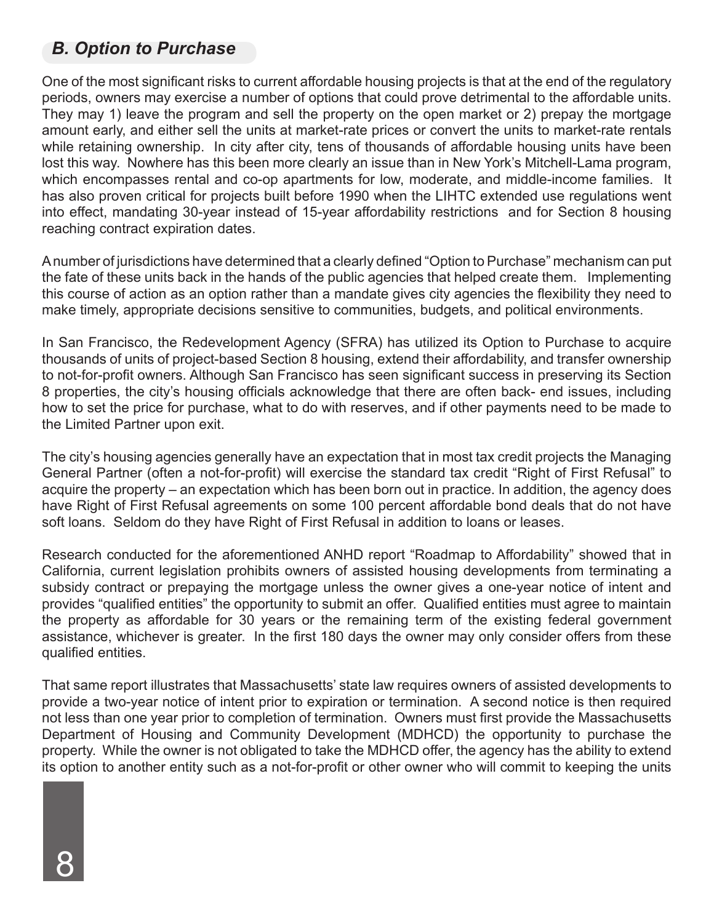#### *B. Option to Purchase*

One of the most significant risks to current affordable housing projects is that at the end of the regulatory periods, owners may exercise a number of options that could prove detrimental to the affordable units. They may 1) leave the program and sell the property on the open market or 2) prepay the mortgage amount early, and either sell the units at market-rate prices or convert the units to market-rate rentals while retaining ownership. In city after city, tens of thousands of affordable housing units have been lost this way. Nowhere has this been more clearly an issue than in New York's Mitchell-Lama program, which encompasses rental and co-op apartments for low, moderate, and middle-income families. It has also proven critical for projects built before 1990 when the LIHTC extended use regulations went into effect, mandating 30-year instead of 15-year affordability restrictions and for Section 8 housing reaching contract expiration dates.

A number of jurisdictions have determined that a clearly defined "Option to Purchase" mechanism can put the fate of these units back in the hands of the public agencies that helped create them. Implementing this course of action as an option rather than a mandate gives city agencies the flexibility they need to make timely, appropriate decisions sensitive to communities, budgets, and political environments.

In San Francisco, the Redevelopment Agency (SFRA) has utilized its Option to Purchase to acquire thousands of units of project-based Section 8 housing, extend their affordability, and transfer ownership to not-for-profit owners. Although San Francisco has seen significant success in preserving its Section 8 properties, the city's housing officials acknowledge that there are often back- end issues, including how to set the price for purchase, what to do with reserves, and if other payments need to be made to the Limited Partner upon exit.

The city's housing agencies generally have an expectation that in most tax credit projects the Managing General Partner (often a not-for-profit) will exercise the standard tax credit "Right of First Refusal" to acquire the property – an expectation which has been born out in practice. In addition, the agency does have Right of First Refusal agreements on some 100 percent affordable bond deals that do not have soft loans. Seldom do they have Right of First Refusal in addition to loans or leases.

Research conducted for the aforementioned ANHD report "Roadmap to Affordability" showed that in California, current legislation prohibits owners of assisted housing developments from terminating a subsidy contract or prepaying the mortgage unless the owner gives a one-year notice of intent and provides "qualified entities" the opportunity to submit an offer. Qualified entities must agree to maintain the property as affordable for 30 years or the remaining term of the existing federal government assistance, whichever is greater. In the first 180 days the owner may only consider offers from these qualified entities.

That same report illustrates that Massachusetts' state law requires owners of assisted developments to provide a two-year notice of intent prior to expiration or termination. A second notice is then required not less than one year prior to completion of termination. Owners must first provide the Massachusetts Department of Housing and Community Development (MDHCD) the opportunity to purchase the property. While the owner is not obligated to take the MDHCD offer, the agency has the ability to extend its option to another entity such as a not-for-profit or other owner who will commit to keeping the units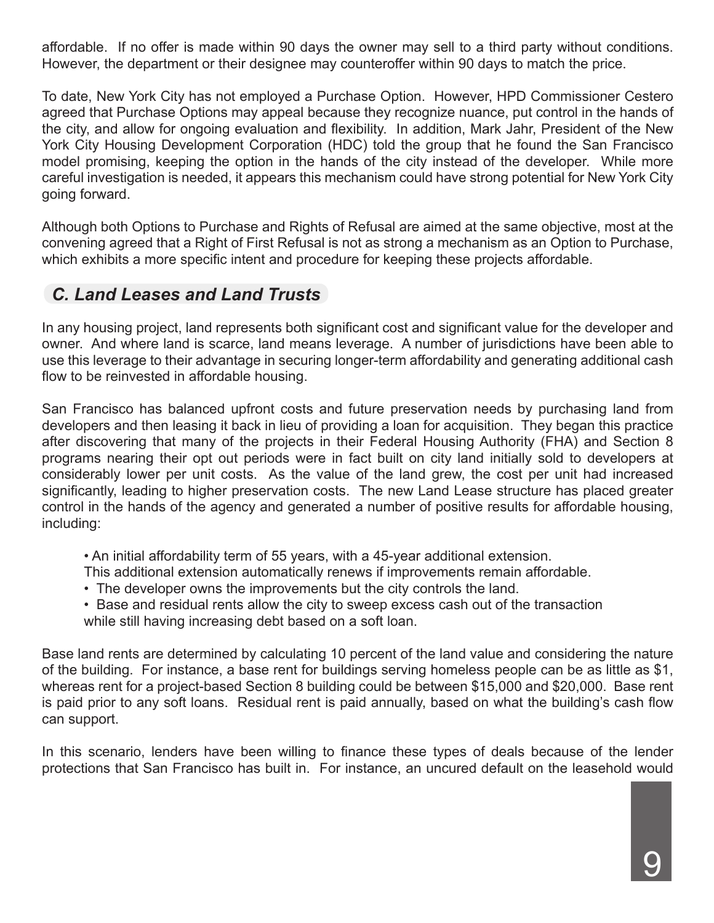affordable. If no offer is made within 90 days the owner may sell to a third party without conditions. However, the department or their designee may counteroffer within 90 days to match the price.

To date, New York City has not employed a Purchase Option. However, HPD Commissioner Cestero agreed that Purchase Options may appeal because they recognize nuance, put control in the hands of the city, and allow for ongoing evaluation and flexibility. In addition, Mark Jahr, President of the New York City Housing Development Corporation (HDC) told the group that he found the San Francisco model promising, keeping the option in the hands of the city instead of the developer. While more careful investigation is needed, it appears this mechanism could have strong potential for New York City going forward.

Although both Options to Purchase and Rights of Refusal are aimed at the same objective, most at the convening agreed that a Right of First Refusal is not as strong a mechanism as an Option to Purchase, which exhibits a more specific intent and procedure for keeping these projects affordable.

#### *C. Land Leases and Land Trusts*

In any housing project, land represents both significant cost and significant value for the developer and owner. And where land is scarce, land means leverage. A number of jurisdictions have been able to use this leverage to their advantage in securing longer-term affordability and generating additional cash flow to be reinvested in affordable housing.

San Francisco has balanced upfront costs and future preservation needs by purchasing land from developers and then leasing it back in lieu of providing a loan for acquisition. They began this practice after discovering that many of the projects in their Federal Housing Authority (FHA) and Section 8 programs nearing their opt out periods were in fact built on city land initially sold to developers at considerably lower per unit costs. As the value of the land grew, the cost per unit had increased significantly, leading to higher preservation costs. The new Land Lease structure has placed greater control in the hands of the agency and generated a number of positive results for affordable housing, including:

• An initial affordability term of 55 years, with a 45-year additional extension.

- This additional extension automatically renews if improvements remain affordable.
- The developer owns the improvements but the city controls the land.
- Base and residual rents allow the city to sweep excess cash out of the transaction while still having increasing debt based on a soft loan.

Base land rents are determined by calculating 10 percent of the land value and considering the nature of the building. For instance, a base rent for buildings serving homeless people can be as little as \$1, whereas rent for a project-based Section 8 building could be between \$15,000 and \$20,000. Base rent is paid prior to any soft loans. Residual rent is paid annually, based on what the building's cash flow can support.

In this scenario, lenders have been willing to finance these types of deals because of the lender protections that San Francisco has built in. For instance, an uncured default on the leasehold would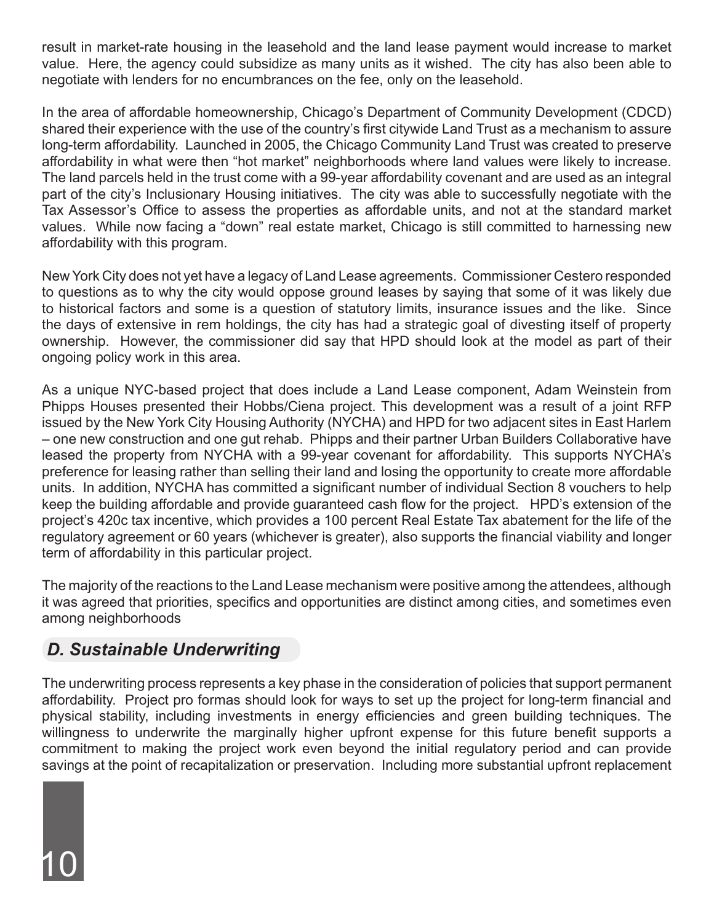result in market-rate housing in the leasehold and the land lease payment would increase to market value. Here, the agency could subsidize as many units as it wished. The city has also been able to negotiate with lenders for no encumbrances on the fee, only on the leasehold.

In the area of affordable homeownership, Chicago's Department of Community Development (CDCD) shared their experience with the use of the country's first citywide Land Trust as a mechanism to assure long-term affordability. Launched in 2005, the Chicago Community Land Trust was created to preserve affordability in what were then "hot market" neighborhoods where land values were likely to increase. The land parcels held in the trust come with a 99-year affordability covenant and are used as an integral part of the city's Inclusionary Housing initiatives. The city was able to successfully negotiate with the Tax Assessor's Office to assess the properties as affordable units, and not at the standard market values. While now facing a "down" real estate market, Chicago is still committed to harnessing new affordability with this program.

New York City does not yet have a legacy of Land Lease agreements. Commissioner Cestero responded to questions as to why the city would oppose ground leases by saying that some of it was likely due to historical factors and some is a question of statutory limits, insurance issues and the like. Since the days of extensive in rem holdings, the city has had a strategic goal of divesting itself of property ownership. However, the commissioner did say that HPD should look at the model as part of their ongoing policy work in this area.

As a unique NYC-based project that does include a Land Lease component, Adam Weinstein from Phipps Houses presented their Hobbs/Ciena project. This development was a result of a joint RFP issued by the New York City Housing Authority (NYCHA) and HPD for two adjacent sites in East Harlem – one new construction and one gut rehab. Phipps and their partner Urban Builders Collaborative have leased the property from NYCHA with a 99-year covenant for affordability. This supports NYCHA's preference for leasing rather than selling their land and losing the opportunity to create more affordable units. In addition, NYCHA has committed a significant number of individual Section 8 vouchers to help keep the building affordable and provide guaranteed cash flow for the project. HPD's extension of the project's 420c tax incentive, which provides a 100 percent Real Estate Tax abatement for the life of the regulatory agreement or 60 years (whichever is greater), also supports the financial viability and longer term of affordability in this particular project.

The majority of the reactions to the Land Lease mechanism were positive among the attendees, although it was agreed that priorities, specifics and opportunities are distinct among cities, and sometimes even among neighborhoods

#### *D. Sustainable Underwriting*

10

The underwriting process represents a key phase in the consideration of policies that support permanent affordability. Project pro formas should look for ways to set up the project for long-term financial and physical stability, including investments in energy efficiencies and green building techniques. The willingness to underwrite the marginally higher upfront expense for this future benefit supports a commitment to making the project work even beyond the initial regulatory period and can provide savings at the point of recapitalization or preservation. Including more substantial upfront replacement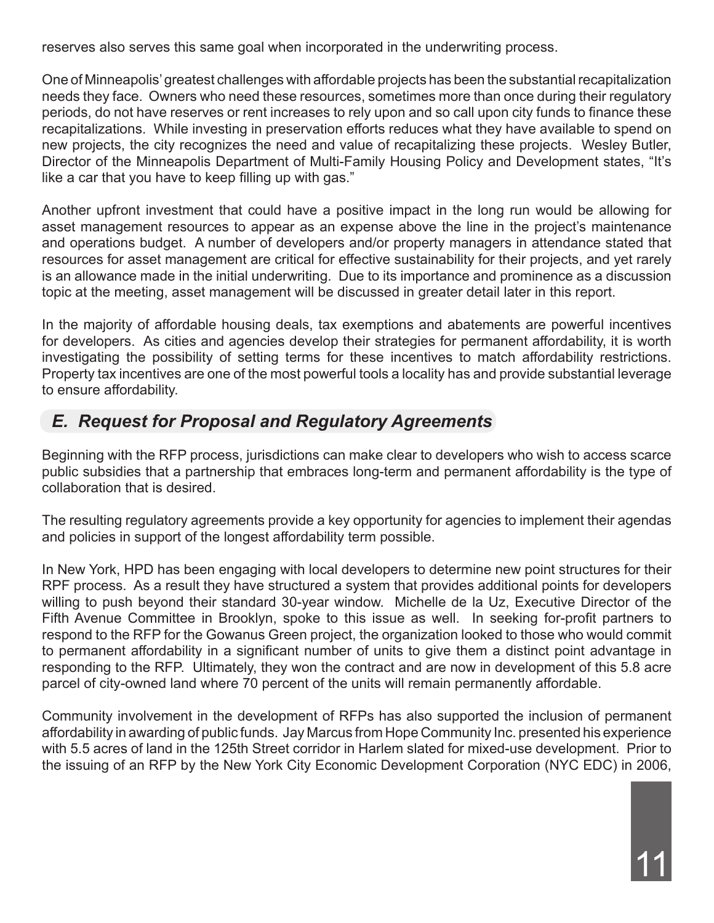reserves also serves this same goal when incorporated in the underwriting process.

One of Minneapolis' greatest challenges with affordable projects has been the substantial recapitalization needs they face. Owners who need these resources, sometimes more than once during their regulatory periods, do not have reserves or rent increases to rely upon and so call upon city funds to finance these recapitalizations. While investing in preservation efforts reduces what they have available to spend on new projects, the city recognizes the need and value of recapitalizing these projects. Wesley Butler, Director of the Minneapolis Department of Multi-Family Housing Policy and Development states, "It's like a car that you have to keep filling up with gas."

Another upfront investment that could have a positive impact in the long run would be allowing for asset management resources to appear as an expense above the line in the project's maintenance and operations budget. A number of developers and/or property managers in attendance stated that resources for asset management are critical for effective sustainability for their projects, and yet rarely is an allowance made in the initial underwriting. Due to its importance and prominence as a discussion topic at the meeting, asset management will be discussed in greater detail later in this report.

In the majority of affordable housing deals, tax exemptions and abatements are powerful incentives for developers. As cities and agencies develop their strategies for permanent affordability, it is worth investigating the possibility of setting terms for these incentives to match affordability restrictions. Property tax incentives are one of the most powerful tools a locality has and provide substantial leverage to ensure affordability.

#### *E. Request for Proposal and Regulatory Agreements*

Beginning with the RFP process, jurisdictions can make clear to developers who wish to access scarce public subsidies that a partnership that embraces long-term and permanent affordability is the type of collaboration that is desired.

The resulting regulatory agreements provide a key opportunity for agencies to implement their agendas and policies in support of the longest affordability term possible.

In New York, HPD has been engaging with local developers to determine new point structures for their RPF process. As a result they have structured a system that provides additional points for developers willing to push beyond their standard 30-year window. Michelle de la Uz, Executive Director of the Fifth Avenue Committee in Brooklyn, spoke to this issue as well. In seeking for-profit partners to respond to the RFP for the Gowanus Green project, the organization looked to those who would commit to permanent affordability in a significant number of units to give them a distinct point advantage in responding to the RFP. Ultimately, they won the contract and are now in development of this 5.8 acre parcel of city-owned land where 70 percent of the units will remain permanently affordable.

Community involvement in the development of RFPs has also supported the inclusion of permanent affordability in awarding of public funds. Jay Marcus from Hope Community Inc. presented his experience with 5.5 acres of land in the 125th Street corridor in Harlem slated for mixed-use development. Prior to the issuing of an RFP by the New York City Economic Development Corporation (NYC EDC) in 2006,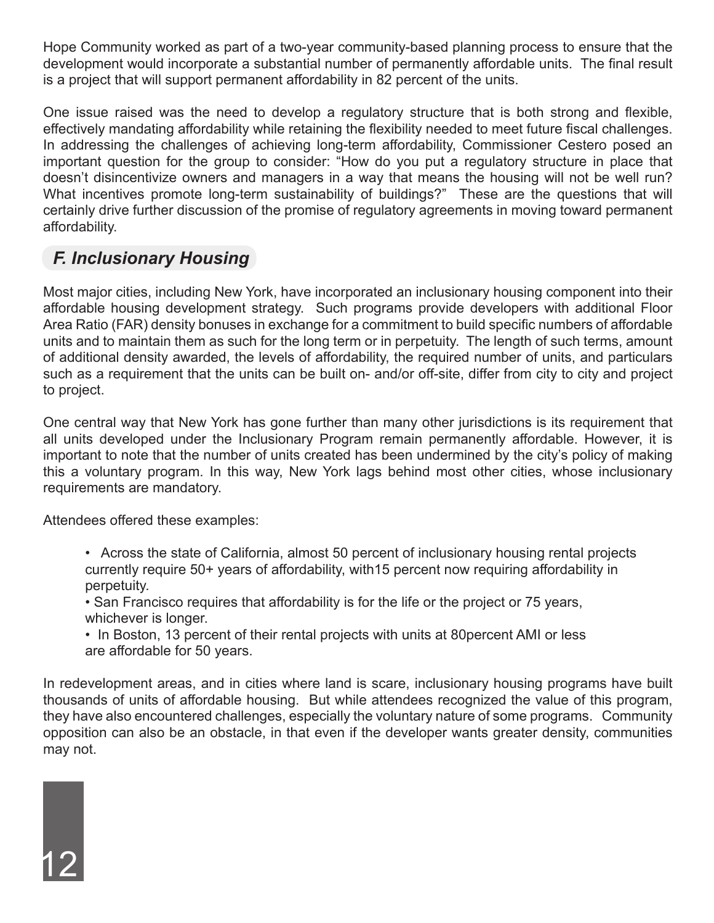Hope Community worked as part of a two-year community-based planning process to ensure that the development would incorporate a substantial number of permanently affordable units. The final result is a project that will support permanent affordability in 82 percent of the units.

One issue raised was the need to develop a regulatory structure that is both strong and flexible, effectively mandating affordability while retaining the flexibility needed to meet future fiscal challenges. In addressing the challenges of achieving long-term affordability, Commissioner Cestero posed an important question for the group to consider: "How do you put a regulatory structure in place that doesn't disincentivize owners and managers in a way that means the housing will not be well run? What incentives promote long-term sustainability of buildings?" These are the questions that will certainly drive further discussion of the promise of regulatory agreements in moving toward permanent affordability.

#### *F. Inclusionary Housing*

Most major cities, including New York, have incorporated an inclusionary housing component into their affordable housing development strategy. Such programs provide developers with additional Floor Area Ratio (FAR) density bonuses in exchange for a commitment to build specific numbers of affordable units and to maintain them as such for the long term or in perpetuity. The length of such terms, amount of additional density awarded, the levels of affordability, the required number of units, and particulars such as a requirement that the units can be built on- and/or off-site, differ from city to city and project to project.

One central way that New York has gone further than many other jurisdictions is its requirement that all units developed under the Inclusionary Program remain permanently affordable. However, it is important to note that the number of units created has been undermined by the city's policy of making this a voluntary program. In this way, New York lags behind most other cities, whose inclusionary requirements are mandatory.

Attendees offered these examples:

- Across the state of California, almost 50 percent of inclusionary housing rental projects currently require 50+ years of affordability, with15 percent now requiring affordability in perpetuity.
- San Francisco requires that affordability is for the life or the project or 75 years, whichever is longer.
- In Boston, 13 percent of their rental projects with units at 80percent AMI or less are affordable for 50 years.

In redevelopment areas, and in cities where land is scare, inclusionary housing programs have built thousands of units of affordable housing. But while attendees recognized the value of this program, they have also encountered challenges, especially the voluntary nature of some programs. Community opposition can also be an obstacle, in that even if the developer wants greater density, communities may not.

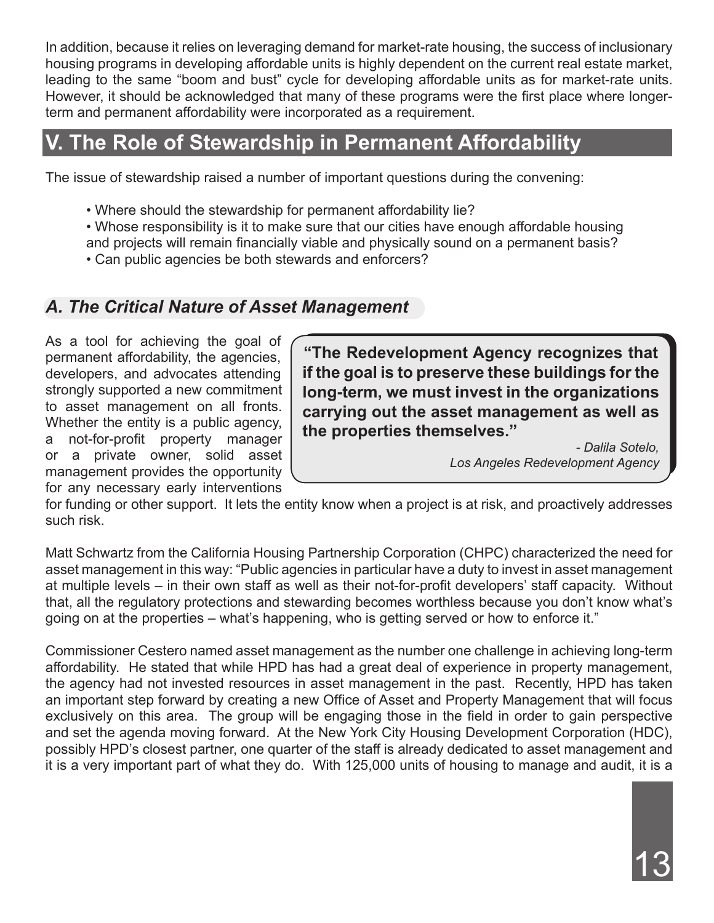In addition, because it relies on leveraging demand for market-rate housing, the success of inclusionary housing programs in developing affordable units is highly dependent on the current real estate market, leading to the same "boom and bust" cycle for developing affordable units as for market-rate units. However, it should be acknowledged that many of these programs were the first place where longerterm and permanent affordability were incorporated as a requirement.

## **V. The Role of Stewardship in Permanent Affordability**

The issue of stewardship raised a number of important questions during the convening:

- Where should the stewardship for permanent affordability lie?
- Whose responsibility is it to make sure that our cities have enough affordable housing and projects will remain financially viable and physically sound on a permanent basis?
- Can public agencies be both stewards and enforcers?

#### *A. The Critical Nature of Asset Management*

As a tool for achieving the goal of permanent affordability, the agencies, developers, and advocates attending strongly supported a new commitment to asset management on all fronts. Whether the entity is a public agency, a not-for-profit property manager or a private owner, solid asset management provides the opportunity for any necessary early interventions

**"The Redevelopment Agency recognizes that if the goal is to preserve these buildings for the long-term, we must invest in the organizations carrying out the asset management as well as the properties themselves."**

*- Dalila Sotelo, Los Angeles Redevelopment Agency*

for funding or other support. It lets the entity know when a project is at risk, and proactively addresses such risk.

Matt Schwartz from the California Housing Partnership Corporation (CHPC) characterized the need for asset management in this way: "Public agencies in particular have a duty to invest in asset management at multiple levels – in their own staff as well as their not-for-profit developers' staff capacity. Without that, all the regulatory protections and stewarding becomes worthless because you don't know what's going on at the properties – what's happening, who is getting served or how to enforce it."

Commissioner Cestero named asset management as the number one challenge in achieving long-term affordability. He stated that while HPD has had a great deal of experience in property management, the agency had not invested resources in asset management in the past. Recently, HPD has taken an important step forward by creating a new Office of Asset and Property Management that will focus exclusively on this area. The group will be engaging those in the field in order to gain perspective and set the agenda moving forward. At the New York City Housing Development Corporation (HDC), possibly HPD's closest partner, one quarter of the staff is already dedicated to asset management and it is a very important part of what they do. With 125,000 units of housing to manage and audit, it is a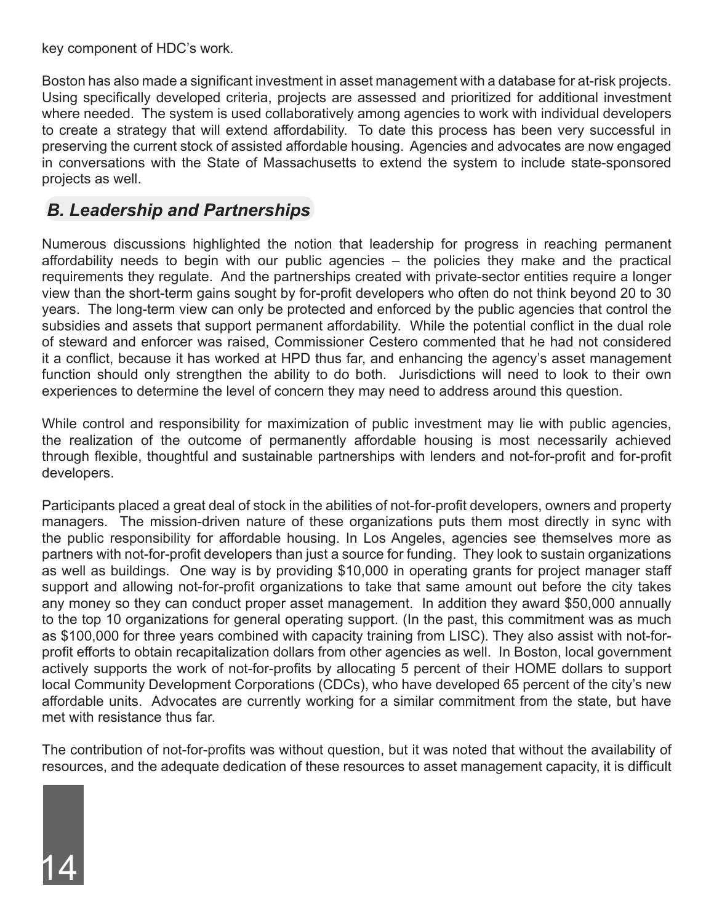key component of HDC's work.

Boston has also made a significant investment in asset management with a database for at-risk projects. Using specifically developed criteria, projects are assessed and prioritized for additional investment where needed. The system is used collaboratively among agencies to work with individual developers to create a strategy that will extend affordability. To date this process has been very successful in preserving the current stock of assisted affordable housing. Agencies and advocates are now engaged in conversations with the State of Massachusetts to extend the system to include state-sponsored projects as well.

#### *B. Leadership and Partnerships*

Numerous discussions highlighted the notion that leadership for progress in reaching permanent affordability needs to begin with our public agencies – the policies they make and the practical requirements they regulate. And the partnerships created with private-sector entities require a longer view than the short-term gains sought by for-profit developers who often do not think beyond 20 to 30 years. The long-term view can only be protected and enforced by the public agencies that control the subsidies and assets that support permanent affordability. While the potential conflict in the dual role of steward and enforcer was raised, Commissioner Cestero commented that he had not considered it a conflict, because it has worked at HPD thus far, and enhancing the agency's asset management function should only strengthen the ability to do both. Jurisdictions will need to look to their own experiences to determine the level of concern they may need to address around this question.

While control and responsibility for maximization of public investment may lie with public agencies, the realization of the outcome of permanently affordable housing is most necessarily achieved through flexible, thoughtful and sustainable partnerships with lenders and not-for-profit and for-profit developers.

Participants placed a great deal of stock in the abilities of not-for-profit developers, owners and property managers. The mission-driven nature of these organizations puts them most directly in sync with the public responsibility for affordable housing. In Los Angeles, agencies see themselves more as partners with not-for-profit developers than just a source for funding. They look to sustain organizations as well as buildings. One way is by providing \$10,000 in operating grants for project manager staff support and allowing not-for-profit organizations to take that same amount out before the city takes any money so they can conduct proper asset management. In addition they award \$50,000 annually to the top 10 organizations for general operating support. (In the past, this commitment was as much as \$100,000 for three years combined with capacity training from LISC). They also assist with not-forprofit efforts to obtain recapitalization dollars from other agencies as well. In Boston, local government actively supports the work of not-for-profits by allocating 5 percent of their HOME dollars to support local Community Development Corporations (CDCs), who have developed 65 percent of the city's new affordable units. Advocates are currently working for a similar commitment from the state, but have met with resistance thus far.

The contribution of not-for-profits was without question, but it was noted that without the availability of resources, and the adequate dedication of these resources to asset management capacity, it is difficult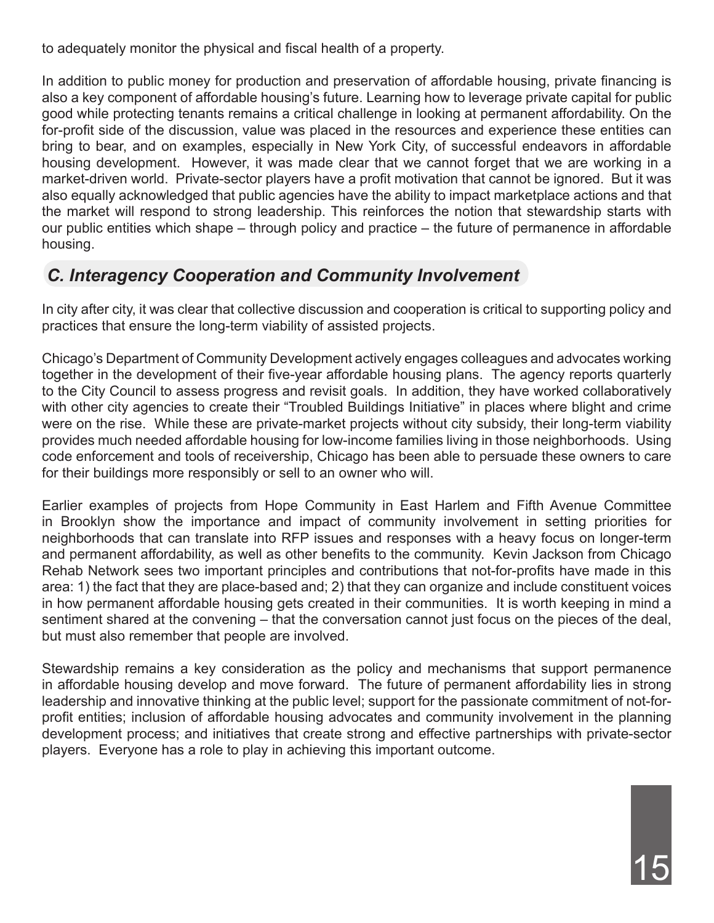to adequately monitor the physical and fiscal health of a property.

In addition to public money for production and preservation of affordable housing, private financing is also a key component of affordable housing's future. Learning how to leverage private capital for public good while protecting tenants remains a critical challenge in looking at permanent affordability. On the for-profit side of the discussion, value was placed in the resources and experience these entities can bring to bear, and on examples, especially in New York City, of successful endeavors in affordable housing development. However, it was made clear that we cannot forget that we are working in a market-driven world. Private-sector players have a profit motivation that cannot be ignored. But it was also equally acknowledged that public agencies have the ability to impact marketplace actions and that the market will respond to strong leadership. This reinforces the notion that stewardship starts with our public entities which shape – through policy and practice – the future of permanence in affordable housing.

#### *C. Interagency Cooperation and Community Involvement*

In city after city, it was clear that collective discussion and cooperation is critical to supporting policy and practices that ensure the long-term viability of assisted projects.

Chicago's Department of Community Development actively engages colleagues and advocates working together in the development of their five-year affordable housing plans. The agency reports quarterly to the City Council to assess progress and revisit goals. In addition, they have worked collaboratively with other city agencies to create their "Troubled Buildings Initiative" in places where blight and crime were on the rise. While these are private-market projects without city subsidy, their long-term viability provides much needed affordable housing for low-income families living in those neighborhoods. Using code enforcement and tools of receivership, Chicago has been able to persuade these owners to care for their buildings more responsibly or sell to an owner who will.

Earlier examples of projects from Hope Community in East Harlem and Fifth Avenue Committee in Brooklyn show the importance and impact of community involvement in setting priorities for neighborhoods that can translate into RFP issues and responses with a heavy focus on longer-term and permanent affordability, as well as other benefits to the community. Kevin Jackson from Chicago Rehab Network sees two important principles and contributions that not-for-profits have made in this area: 1) the fact that they are place-based and; 2) that they can organize and include constituent voices in how permanent affordable housing gets created in their communities. It is worth keeping in mind a sentiment shared at the convening – that the conversation cannot just focus on the pieces of the deal, but must also remember that people are involved.

Stewardship remains a key consideration as the policy and mechanisms that support permanence in affordable housing develop and move forward. The future of permanent affordability lies in strong leadership and innovative thinking at the public level; support for the passionate commitment of not-forprofit entities; inclusion of affordable housing advocates and community involvement in the planning development process; and initiatives that create strong and effective partnerships with private-sector players. Everyone has a role to play in achieving this important outcome.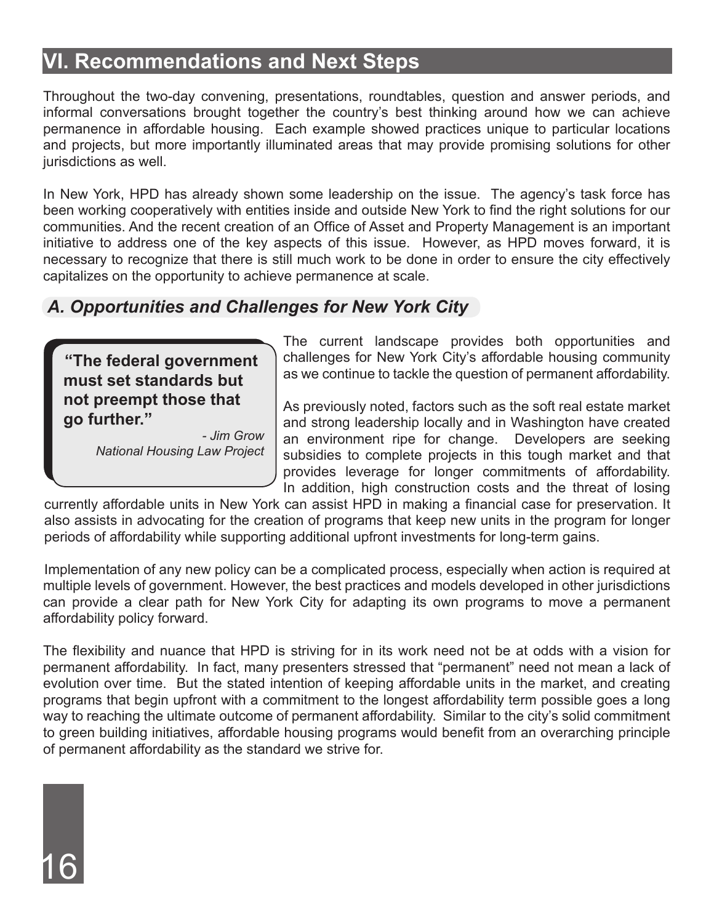## **VI. Recommendations and Next Steps**

Throughout the two-day convening, presentations, roundtables, question and answer periods, and informal conversations brought together the country's best thinking around how we can achieve permanence in affordable housing. Each example showed practices unique to particular locations and projects, but more importantly illuminated areas that may provide promising solutions for other jurisdictions as well.

In New York, HPD has already shown some leadership on the issue. The agency's task force has been working cooperatively with entities inside and outside New York to find the right solutions for our communities. And the recent creation of an Office of Asset and Property Management is an important initiative to address one of the key aspects of this issue. However, as HPD moves forward, it is necessary to recognize that there is still much work to be done in order to ensure the city effectively capitalizes on the opportunity to achieve permanence at scale.

#### *A. Opportunities and Challenges for New York City*

**"The federal government must set standards but not preempt those that go further."**

16

*- Jim Grow National Housing Law Project*  The current landscape provides both opportunities and challenges for New York City's affordable housing community as we continue to tackle the question of permanent affordability.

As previously noted, factors such as the soft real estate market and strong leadership locally and in Washington have created an environment ripe for change. Developers are seeking subsidies to complete projects in this tough market and that provides leverage for longer commitments of affordability. In addition, high construction costs and the threat of losing

currently affordable units in New York can assist HPD in making a financial case for preservation. It also assists in advocating for the creation of programs that keep new units in the program for longer periods of affordability while supporting additional upfront investments for long-term gains.

Implementation of any new policy can be a complicated process, especially when action is required at multiple levels of government. However, the best practices and models developed in other jurisdictions can provide a clear path for New York City for adapting its own programs to move a permanent affordability policy forward.

The flexibility and nuance that HPD is striving for in its work need not be at odds with a vision for permanent affordability. In fact, many presenters stressed that "permanent" need not mean a lack of evolution over time. But the stated intention of keeping affordable units in the market, and creating programs that begin upfront with a commitment to the longest affordability term possible goes a long way to reaching the ultimate outcome of permanent affordability. Similar to the city's solid commitment to green building initiatives, affordable housing programs would benefit from an overarching principle of permanent affordability as the standard we strive for.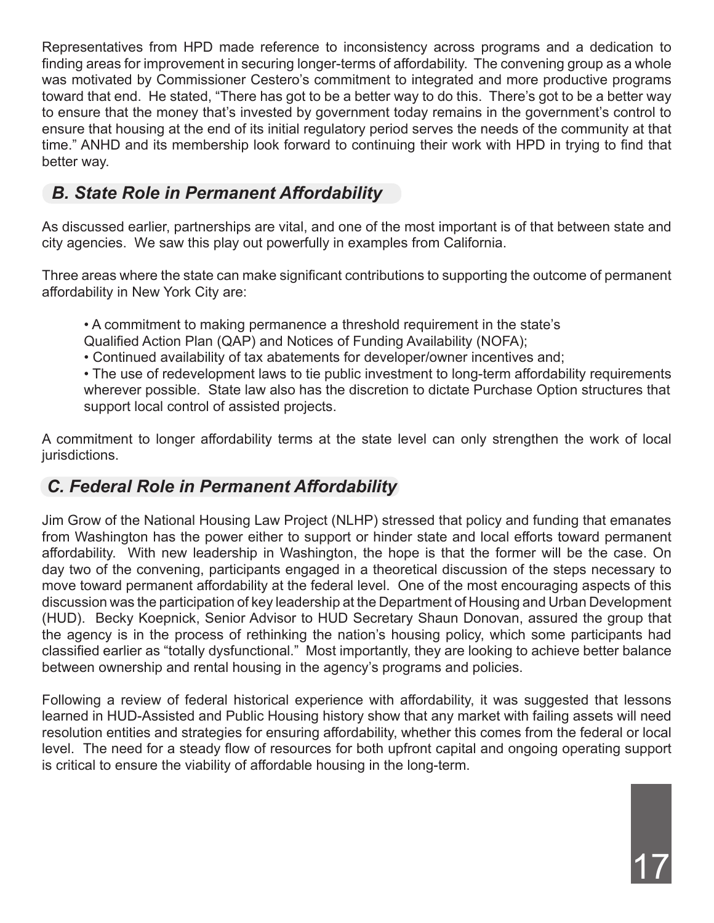Representatives from HPD made reference to inconsistency across programs and a dedication to finding areas for improvement in securing longer-terms of affordability. The convening group as a whole was motivated by Commissioner Cestero's commitment to integrated and more productive programs toward that end. He stated, "There has got to be a better way to do this. There's got to be a better way to ensure that the money that's invested by government today remains in the government's control to ensure that housing at the end of its initial regulatory period serves the needs of the community at that time." ANHD and its membership look forward to continuing their work with HPD in trying to find that better way.

#### *B. State Role in Permanent Affordability*

As discussed earlier, partnerships are vital, and one of the most important is of that between state and city agencies. We saw this play out powerfully in examples from California.

Three areas where the state can make significant contributions to supporting the outcome of permanent affordability in New York City are:

- A commitment to making permanence a threshold requirement in the state's
- Qualified Action Plan (QAP) and Notices of Funding Availability (NOFA);
- Continued availability of tax abatements for developer/owner incentives and;
- The use of redevelopment laws to tie public investment to long-term affordability requirements wherever possible. State law also has the discretion to dictate Purchase Option structures that support local control of assisted projects.

A commitment to longer affordability terms at the state level can only strengthen the work of local jurisdictions.

#### *C. Federal Role in Permanent Affordability*

Jim Grow of the National Housing Law Project (NLHP) stressed that policy and funding that emanates from Washington has the power either to support or hinder state and local efforts toward permanent affordability. With new leadership in Washington, the hope is that the former will be the case. On day two of the convening, participants engaged in a theoretical discussion of the steps necessary to move toward permanent affordability at the federal level. One of the most encouraging aspects of this discussion was the participation of key leadership at the Department of Housing and Urban Development (HUD). Becky Koepnick, Senior Advisor to HUD Secretary Shaun Donovan, assured the group that the agency is in the process of rethinking the nation's housing policy, which some participants had classified earlier as "totally dysfunctional." Most importantly, they are looking to achieve better balance between ownership and rental housing in the agency's programs and policies.

Following a review of federal historical experience with affordability, it was suggested that lessons learned in HUD-Assisted and Public Housing history show that any market with failing assets will need resolution entities and strategies for ensuring affordability, whether this comes from the federal or local level. The need for a steady flow of resources for both upfront capital and ongoing operating support is critical to ensure the viability of affordable housing in the long-term.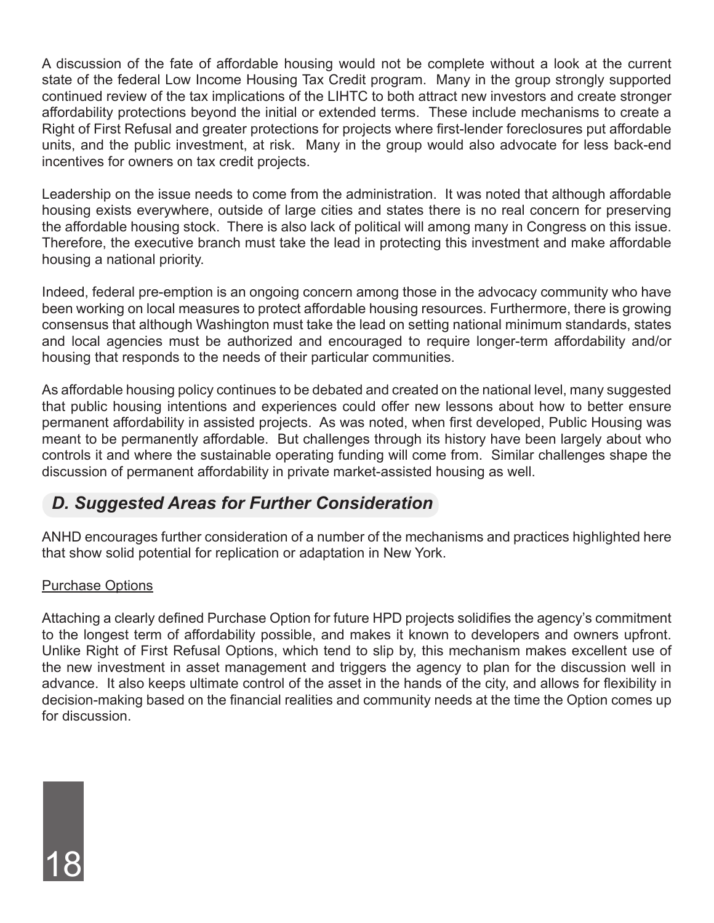A discussion of the fate of affordable housing would not be complete without a look at the current state of the federal Low Income Housing Tax Credit program. Many in the group strongly supported continued review of the tax implications of the LIHTC to both attract new investors and create stronger affordability protections beyond the initial or extended terms. These include mechanisms to create a Right of First Refusal and greater protections for projects where first-lender foreclosures put affordable units, and the public investment, at risk. Many in the group would also advocate for less back-end incentives for owners on tax credit projects.

Leadership on the issue needs to come from the administration. It was noted that although affordable housing exists everywhere, outside of large cities and states there is no real concern for preserving the affordable housing stock. There is also lack of political will among many in Congress on this issue. Therefore, the executive branch must take the lead in protecting this investment and make affordable housing a national priority.

Indeed, federal pre-emption is an ongoing concern among those in the advocacy community who have been working on local measures to protect affordable housing resources. Furthermore, there is growing consensus that although Washington must take the lead on setting national minimum standards, states and local agencies must be authorized and encouraged to require longer-term affordability and/or housing that responds to the needs of their particular communities.

As affordable housing policy continues to be debated and created on the national level, many suggested that public housing intentions and experiences could offer new lessons about how to better ensure permanent affordability in assisted projects. As was noted, when first developed, Public Housing was meant to be permanently affordable. But challenges through its history have been largely about who controls it and where the sustainable operating funding will come from. Similar challenges shape the discussion of permanent affordability in private market-assisted housing as well.

#### *D. Suggested Areas for Further Consideration*

ANHD encourages further consideration of a number of the mechanisms and practices highlighted here that show solid potential for replication or adaptation in New York.

#### Purchase Options

18

Attaching a clearly defined Purchase Option for future HPD projects solidifies the agency's commitment to the longest term of affordability possible, and makes it known to developers and owners upfront. Unlike Right of First Refusal Options, which tend to slip by, this mechanism makes excellent use of the new investment in asset management and triggers the agency to plan for the discussion well in advance. It also keeps ultimate control of the asset in the hands of the city, and allows for flexibility in decision-making based on the financial realities and community needs at the time the Option comes up for discussion.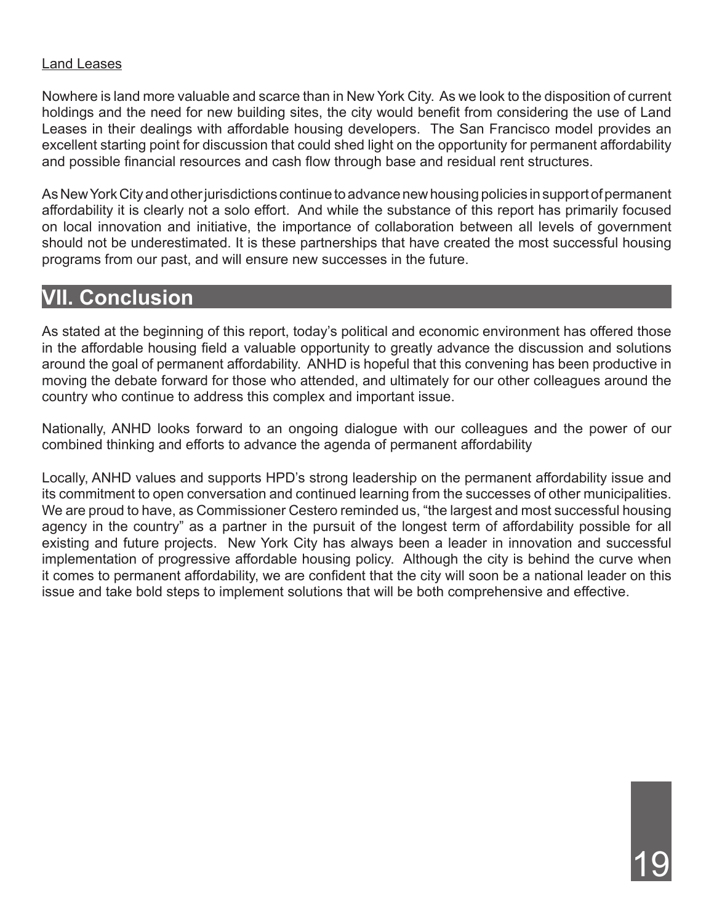#### Land Leases

Nowhere is land more valuable and scarce than in New York City. As we look to the disposition of current holdings and the need for new building sites, the city would benefit from considering the use of Land Leases in their dealings with affordable housing developers. The San Francisco model provides an excellent starting point for discussion that could shed light on the opportunity for permanent affordability and possible financial resources and cash flow through base and residual rent structures.

As New York City and other jurisdictions continue to advance new housing policies in support of permanent affordability it is clearly not a solo effort. And while the substance of this report has primarily focused on local innovation and initiative, the importance of collaboration between all levels of government should not be underestimated. It is these partnerships that have created the most successful housing programs from our past, and will ensure new successes in the future.

#### **VII. Conclusion**

As stated at the beginning of this report, today's political and economic environment has offered those in the affordable housing field a valuable opportunity to greatly advance the discussion and solutions around the goal of permanent affordability. ANHD is hopeful that this convening has been productive in moving the debate forward for those who attended, and ultimately for our other colleagues around the country who continue to address this complex and important issue.

Nationally, ANHD looks forward to an ongoing dialogue with our colleagues and the power of our combined thinking and efforts to advance the agenda of permanent affordability

Locally, ANHD values and supports HPD's strong leadership on the permanent affordability issue and its commitment to open conversation and continued learning from the successes of other municipalities. We are proud to have, as Commissioner Cestero reminded us, "the largest and most successful housing agency in the country" as a partner in the pursuit of the longest term of affordability possible for all existing and future projects. New York City has always been a leader in innovation and successful implementation of progressive affordable housing policy. Although the city is behind the curve when it comes to permanent affordability, we are confident that the city will soon be a national leader on this issue and take bold steps to implement solutions that will be both comprehensive and effective.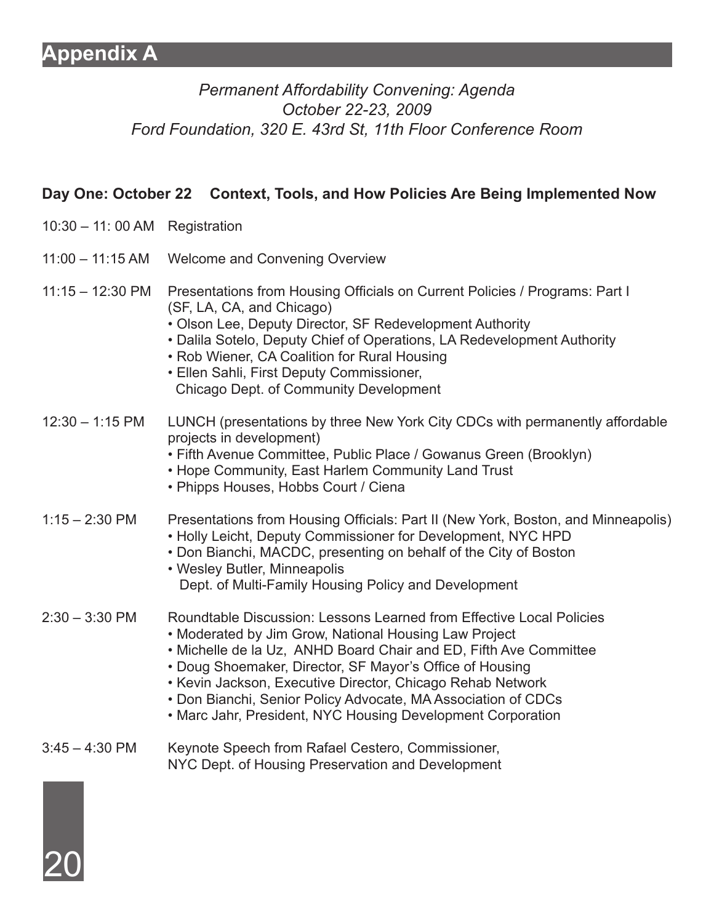#### **Appendix A**

#### *Permanent Affordability Convening: Agenda October 22-23, 2009 Ford Foundation, 320 E. 43rd St, 11th Floor Conference Room*

#### **Day One: October 22 Context, Tools, and How Policies Are Being Implemented Now**

- 10:30 11: 00 AM Registration
- 11:00 11:15 AM Welcome and Convening Overview
- 11:15 12:30 PM Presentations from Housing Officials on Current Policies / Programs: Part I (SF, LA, CA, and Chicago)
	- Olson Lee, Deputy Director, SF Redevelopment Authority
	- Dalila Sotelo, Deputy Chief of Operations, LA Redevelopment Authority
	- Rob Wiener, CA Coalition for Rural Housing
	- Ellen Sahli, First Deputy Commissioner, Chicago Dept. of Community Development
- 12:30 1:15 PM LUNCH (presentations by three New York City CDCs with permanently affordable projects in development)
	- Fifth Avenue Committee, Public Place / Gowanus Green (Brooklyn)
	- Hope Community, East Harlem Community Land Trust
	- Phipps Houses, Hobbs Court / Ciena

#### 1:15 – 2:30 PM Presentations from Housing Officials: Part II (New York, Boston, and Minneapolis)

- Holly Leicht, Deputy Commissioner for Development, NYC HPD
- Don Bianchi, MACDC, presenting on behalf of the City of Boston
- Wesley Butler, Minneapolis Dept. of Multi-Family Housing Policy and Development

#### 2:30 – 3:30 PM Roundtable Discussion: Lessons Learned from Effective Local Policies

- Moderated by Jim Grow, National Housing Law Project
- Michelle de la Uz, ANHD Board Chair and ED, Fifth Ave Committee
- Doug Shoemaker, Director, SF Mayor's Office of Housing
- Kevin Jackson, Executive Director, Chicago Rehab Network
- Don Bianchi, Senior Policy Advocate, MA Association of CDCs
- Marc Jahr, President, NYC Housing Development Corporation
- 3:45 4:30 PM Keynote Speech from Rafael Cestero, Commissioner, NYC Dept. of Housing Preservation and Development

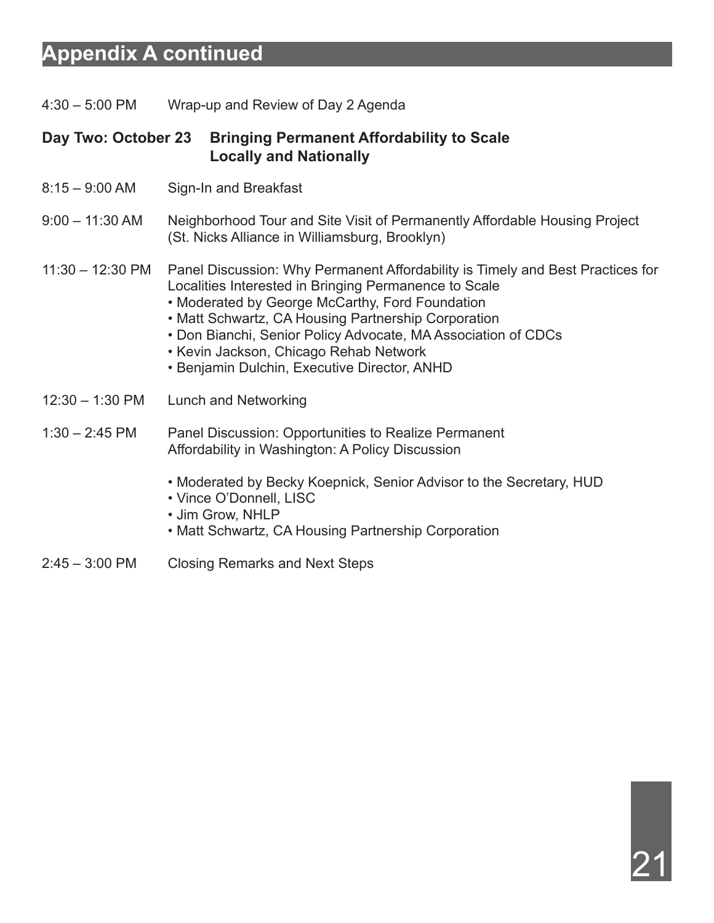#### **Appendix A continued**

4:30 – 5:00 PM Wrap-up and Review of Day 2 Agenda

#### **Day Two: October 23 Bringing Permanent Affordability to Scale Locally and Nationally**

- 8:15 9:00 AM Sign-In and Breakfast
- 9:00 11:30 AM Neighborhood Tour and Site Visit of Permanently Affordable Housing Project (St. Nicks Alliance in Williamsburg, Brooklyn)
- 11:30 12:30 PM Panel Discussion: Why Permanent Affordability is Timely and Best Practices for Localities Interested in Bringing Permanence to Scale
	- Moderated by George McCarthy, Ford Foundation
	- Matt Schwartz, CA Housing Partnership Corporation
	- Don Bianchi, Senior Policy Advocate, MA Association of CDCs
	- Kevin Jackson, Chicago Rehab Network
	- Benjamin Dulchin, Executive Director, ANHD
- 12:30 1:30 PM Lunch and Networking

#### 1:30 – 2:45 PM Panel Discussion: Opportunities to Realize Permanent Affordability in Washington: A Policy Discussion

- Moderated by Becky Koepnick, Senior Advisor to the Secretary, HUD
- Vince O'Donnell, LISC
- Jim Grow, NHLP
- Matt Schwartz, CA Housing Partnership Corporation
- 2:45 3:00 PM Closing Remarks and Next Steps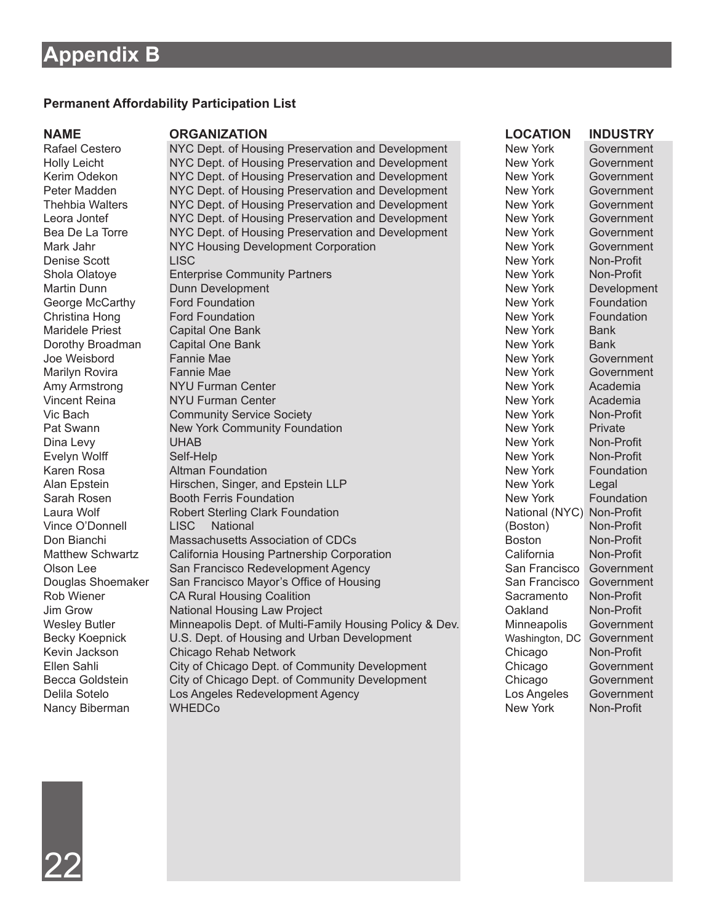#### **Permanent Affordability Participation List**

#### **NAME ORGANIZATION DESCRIPTION LOCATION INDUSTRY**

Rafael Cestero NYC Dept. of Housing Preservation and Development New York Government Holly Leicht NYC Dept. of Housing Preservation and Development New York Government Kerim Odekon NYC Dept. of Housing Preservation and Development New York Government Peter Madden MYC Dept. of Housing Preservation and Development New York Government<br>Thehbia Walters NYC Dept. of Housing Preservation and Development New York Government NYC Dept. of Housing Preservation and Development New York Government Leora Jontef **NYC Dept. of Housing Preservation and Development** New York Government<br>
Rea De La Torre NYC Dept. of Housing Preservation and Development New York Government Bea De La Torre NYC Dept. of Housing Preservation and Development New York Government Mark Jahr NYC Housing Development Corporation New York Government Denise Scott LISC New York Non-Profit Shola Olatoye Enterprise Community Partners New York Non-Profit Martin Dunn Dunn Development New York Development George McCarthy Ford Foundation **Foundation** New York Foundation **New York** Foundation Christina Hong **Ford Foundation** For Foundation New York Foundation New York **Foundation** Maridele Priest Capital One Bank New York Bank New York Bank Dorothy Broadman Capital One Bank New York Bank New York Bank Bank New York Bank New York Bank Bank New York Bank<br>
Doe Weisbord Fannie Mae Joe Weisbord Fannie Mae New York Government Marilyn Rovira Fannie Mae New York Government<br>
Amy Armstrong NYU Furman Center New York Academia Amy Armstrong NYU Furman Center New York Academia Vincent Reina NYU Furman Center New York Academia Vic Bach Community Service Society New York Non-Profit Non-Profit Pat Swann New York Community Foundation New York Private New York Private<br>Dina Levy CHAB New York Non-Private New York New York New York Dina Levy UHAB New York Non-Profit Evelyn Wolff Self-Help New York Non-Profit Karen Rosa **Altman Foundation** New York Foundation Alan Epstein **Hirschen, Singer, and Epstein LLP** New York Legal Sarah Rosen Booth Ferris Foundation **New York Foundation** New York Foundation Laura Wolf **Robert Sterling Clark Foundation** National (NYC) Non-Profit Vince O'Donnell LISC National (Boston) Non-Profit Don Bianchi Massachusetts Association of CDCs Boston Boston Non-Profit Matthew Schwartz California Housing Partnership Corporation California California Non-Profit Olson Lee San Francisco Redevelopment Agency San San Francisco Government<br>
Douglas Shoemaker San Francisco Mayor's Office of Housing San San Francisco Government Douglas Shoemaker San Francisco Mayor's Office of Housing San Francisco Government<br>
Rob Wiener CA Rural Housing Coalition Sacramento Non-Profit Rob Wiener CA Rural Housing Coalition<br>  $\begin{array}{ccc}\n\text{Jim} & \text{Gav} \\
\text{Jim} & \text{Gaw} \\
\end{array}$  Sacramento Non-Profit National Housing Law Project **Canadian Constructs** Oakland Non-Profit Wesley Butler Minneapolis Dept. of Multi-Family Housing Policy & Dev. Minneapolis Government Becky Koepnick **U.S. Dept. of Housing and Urban Development** Washington, DC Government Kevin Jackson Chicago Rehab Network<br>
Ellen Sahli City of Chicago Dept. of Community Development Chicago Governme City of Chicago Dept. of Community Development Chicago Government Becca Goldstein City of Chicago Dept. of Community Development Chicago Government Delila Sotelo Los Angeles Redevelopment Agency Los Angeles Government Nancy Biberman WHEDCo New York Non-Profit

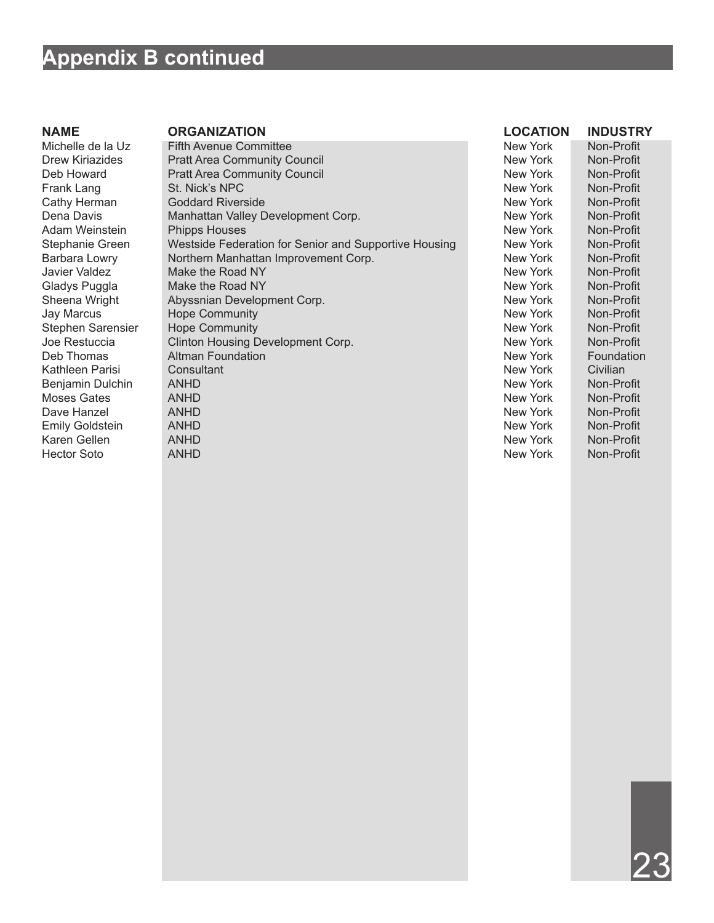#### **Appendix B continued**

Stephen Sarensier Hope Community Karen Gellen ANHD New York Non-Profit Hector Soto ANHD New York Non-Profit

Michelle de la Uz Fifth Avenue Committee <br>Drew Kiriazides Pratt Area Community Council New York Non-Profit Drew Kiriazides Pratt Area Community Council and Community Council New York Non-Profit<br>
Deb Howard Pratt Area Community Council Council New York Non-Profit Pratt Area Community Council Frank Lang St. Nick's NPC New York Non-Profit Cathy Herman Goddard Riverside New York Non-Profit Dena Davis **Manhattan Valley Development Corp.** New York Non-Profit<br>Adam Weinstein Phipps Houses Non-Profit Non-Profit Phipps Houses<br>
Westside Federation for Senior and Supportive Housing Mew York Mon-Profit<br>
Westside Federation for Senior and Supportive Housing Mew York Mon-Profit Stephanie Green Westside Federation for Senior and Supportive Housing New York<br>Barbara Lowry Northern Manhattan Improvement Corp. New York Barbara Lowry Northern Manhattan Improvement Corp. New York Non-Profit Javier Valdez **Make the Road NY** New York Non-Profit Gladys Puggla Make the Road NY New York Non-Profit Sheena Wright Abyssnian Development Corp. New York Non-Profit Jay Marcus Hope Community Hope Community New York Non-Profit<br>
Stephen Sarensier Hope Community New York Non-Profit Joe Restuccia Clinton Housing Development Corp.<br>
Deb Thomas Altman Foundation New York Foundation Altman Foundation Kathleen Parisi Consultant New York Civilian Benjamin Dulchin ANHD New York Non-Profit Moses Gates ANHD New York Non-Profit Dave Hanzel ANHD New York Non-Profit Emily Goldstein ANHD ANHD ANHO AND A CONSULTED A REW York Non-Profit

#### **Name Organization Location Industry**

23